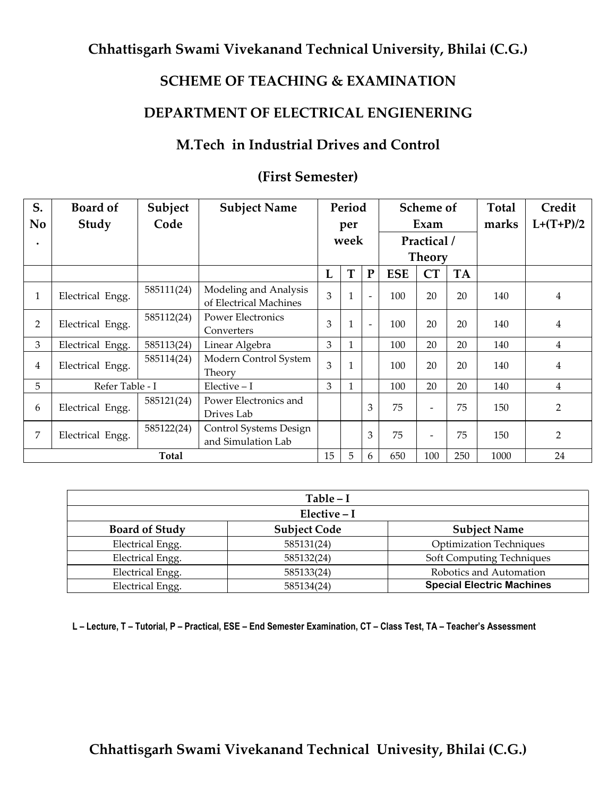### **SCHEME OF TEACHING & EXAMINATION**

### **DEPARTMENT OF ELECTRICAL ENGIENERING**

# **M.Tech in Industrial Drives and Control**

| S.<br>No       | <b>Board of</b><br>Study | Subject<br>Code | <b>Subject Name</b>                             |                | Period<br>per |                          | Scheme of<br>Exam |                          | <b>Total</b><br>marks | Credit<br>$L+(T+P)/2$ |                |
|----------------|--------------------------|-----------------|-------------------------------------------------|----------------|---------------|--------------------------|-------------------|--------------------------|-----------------------|-----------------------|----------------|
| $\bullet$      |                          |                 |                                                 |                | week          |                          | Practical /       |                          |                       |                       |                |
|                |                          |                 |                                                 |                |               |                          | <b>Theory</b>     |                          |                       |                       |                |
|                |                          |                 |                                                 | L              | T             | ${\bf P}$                | <b>ESE</b>        | CT                       | TA                    |                       |                |
| $\mathbf{1}$   | Electrical Engg.         | 585111(24)      | Modeling and Analysis<br>of Electrical Machines | $\mathfrak{Z}$ |               | $\overline{\phantom{a}}$ | 100               | 20                       | 20                    | 140                   | $\overline{4}$ |
| $\overline{2}$ | Electrical Engg.         | 585112(24)      | <b>Power Electronics</b><br>Converters          | 3              |               | $\overline{\phantom{a}}$ | 100               | 20                       | 20                    | 140                   | $\overline{4}$ |
| 3              | Electrical Engg.         | 585113(24)      | Linear Algebra                                  | 3              |               |                          | 100               | 20                       | 20                    | 140                   | 4              |
| 4              | Electrical Engg.         | 585114(24)      | Modern Control System<br>Theory                 | 3              |               |                          | 100               | 20                       | 20                    | 140                   | $\overline{4}$ |
| 5              | Refer Table - I          |                 | $Electric - I$                                  | 3              |               |                          | 100               | 20                       | 20                    | 140                   | $\overline{4}$ |
| 6              | Electrical Engg.         | 585121(24)      | Power Electronics and<br>Drives Lab             |                |               | 3                        | 75                | $\overline{\phantom{0}}$ | 75                    | 150                   | $\overline{2}$ |
| 7              | Electrical Engg.         | 585122(24)      | Control Systems Design<br>and Simulation Lab    |                |               | 3                        | 75                | $\overline{\phantom{0}}$ | 75                    | 150                   | $\overline{2}$ |
|                |                          | <b>Total</b>    |                                                 | 15             | 5             | 6                        | 650               | 100                      | 250                   | 1000                  | 24             |

#### **(First Semester)**

|                       | $Table - I$         |                                  |  |  |  |  |  |  |
|-----------------------|---------------------|----------------------------------|--|--|--|--|--|--|
| Elective - I          |                     |                                  |  |  |  |  |  |  |
| <b>Board of Study</b> | <b>Subject Code</b> | <b>Subject Name</b>              |  |  |  |  |  |  |
| Electrical Engg.      | 585131(24)          | <b>Optimization Techniques</b>   |  |  |  |  |  |  |
| Electrical Engg.      | 585132(24)          | Soft Computing Techniques        |  |  |  |  |  |  |
| Electrical Engg.      | 585133(24)          | Robotics and Automation          |  |  |  |  |  |  |
| Electrical Engg.      | 585134(24)          | <b>Special Electric Machines</b> |  |  |  |  |  |  |

L - Lecture, T - Tutorial, P - Practical, ESE - End Semester Examination, CT - Class Test, TA - Teacher's Assessment

# **Chhattisgarh Swami Vivekanand Technical Univesity, Bhilai (C.G.)**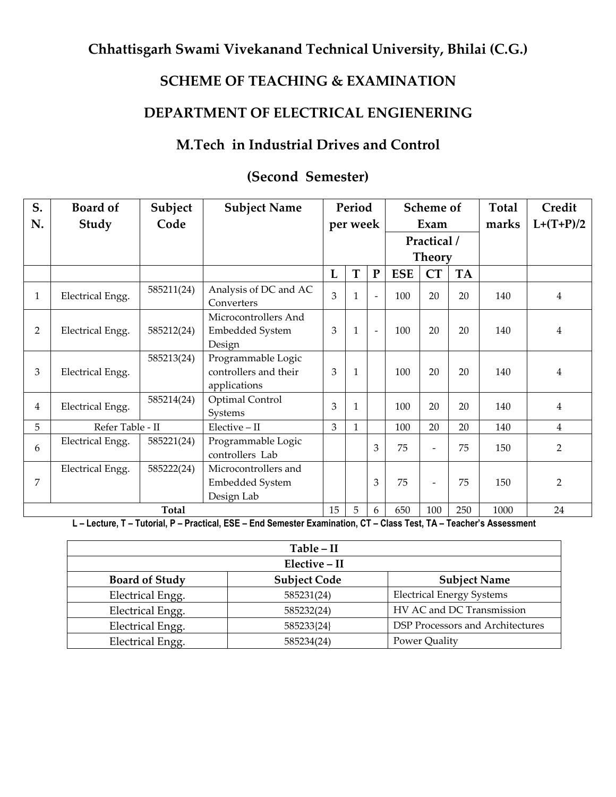# **SCHEME OF TEACHING & EXAMINATION**

# **DEPARTMENT OF ELECTRICAL ENGIENERING**

# **M.Tech in Industrial Drives and Control**

| S.<br>N.       | <b>Board of</b><br>Study | Subject<br>Code | <b>Subject Name</b>                                          |                | Period<br>per week |                          | Scheme of<br>Exam |                          | Total<br>marks | Credit<br>$L+(T+P)/2$ |                |
|----------------|--------------------------|-----------------|--------------------------------------------------------------|----------------|--------------------|--------------------------|-------------------|--------------------------|----------------|-----------------------|----------------|
|                |                          |                 |                                                              |                |                    |                          | Practical /       |                          |                |                       |                |
|                |                          |                 |                                                              |                |                    |                          |                   | <b>Theory</b>            |                |                       |                |
|                |                          |                 |                                                              | L              | T                  | ${\bf P}$                | <b>ESE</b>        | <b>CT</b>                | <b>TA</b>      |                       |                |
| $\mathbf{1}$   | Electrical Engg.         | 585211(24)      | Analysis of DC and AC<br>Converters                          | 3              |                    | $\overline{\phantom{a}}$ | 100               | 20                       | 20             | 140                   | $\overline{4}$ |
| $\overline{2}$ | Electrical Engg.         | 585212(24)      | Microcontrollers And<br>Embedded System<br>Design            | 3              |                    | $\overline{\phantom{a}}$ | 100               | 20                       | 20             | 140                   | $\overline{4}$ |
| 3              | Electrical Engg.         | 585213(24)      | Programmable Logic<br>controllers and their<br>applications  | 3              |                    |                          | 100               | 20                       | 20             | 140                   | $\overline{4}$ |
| 4              | Electrical Engg.         | 585214(24)      | Optimal Control<br><b>Systems</b>                            | 3              |                    |                          | 100               | 20                       | 20             | 140                   | $\overline{4}$ |
| 5              | Refer Table - II         |                 | $Elective - II$                                              | $\overline{3}$ |                    |                          | 100               | 20                       | 20             | 140                   | $\overline{4}$ |
| 6              | Electrical Engg.         | 585221(24)      | Programmable Logic<br>controllers Lab                        |                |                    | 3                        | 75                | $\overline{\phantom{a}}$ | 75             | 150                   | 2              |
| 7              | Electrical Engg.         | 585222(24)      | Microcontrollers and<br><b>Embedded System</b><br>Design Lab |                |                    | 3                        | 75                | $\overline{\phantom{a}}$ | 75             | 150                   | $\overline{2}$ |
|                |                          | <b>Total</b>    |                                                              | 15             | 5                  | 6                        | 650               | 100                      | 250            | 1000                  | 24             |

### **(Second Semester)**

L - Lecture, T - Tutorial, P - Practical, ESE - End Semester Examination, CT - Class Test, TA - Teacher's Assessment

|                       | Table - II          |                                  |
|-----------------------|---------------------|----------------------------------|
|                       | Elective - II       |                                  |
| <b>Board of Study</b> | <b>Subject Code</b> | <b>Subject Name</b>              |
| Electrical Engg.      | 585231(24)          | <b>Electrical Energy Systems</b> |
| Electrical Engg.      | 585232(24)          | HV AC and DC Transmission        |
| Electrical Engg.      | 585233{24}          | DSP Processors and Architectures |
| Electrical Engg.      | 585234(24)          | Power Quality                    |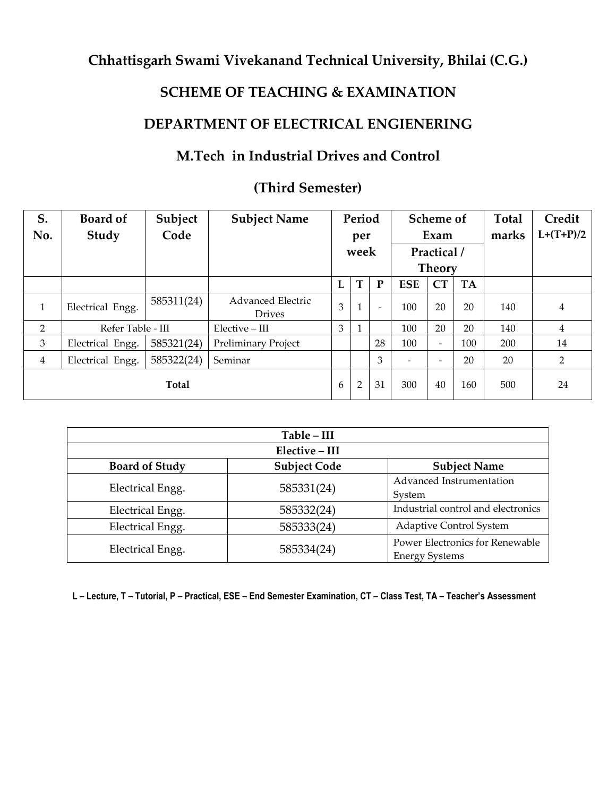# **SCHEME OF TEACHING & EXAMINATION**

# **DEPARTMENT OF ELECTRICAL ENGIENERING**

# **M.Tech in Industrial Drives and Control**

# **(Third Semester)**

| S.<br>No.      | <b>Board of</b><br>Study | Subject<br>Code | <b>Subject Name</b>                       |   | Period<br>per<br>week |           |                | Scheme of<br>Exam<br>Practical /<br><b>Theory</b> |           | <b>Total</b><br>marks | Credit<br>$L+(T+P)/2$ |
|----------------|--------------------------|-----------------|-------------------------------------------|---|-----------------------|-----------|----------------|---------------------------------------------------|-----------|-----------------------|-----------------------|
|                |                          |                 |                                           | L | T                     | ${\bf P}$ | <b>ESE</b>     | CT                                                | <b>TA</b> |                       |                       |
| $\mathbf{1}$   | Electrical Engg.         | 585311(24)      | <b>Advanced Electric</b><br><b>Drives</b> | 3 |                       |           | 100            | 20                                                | 20        | 140                   | $\overline{4}$        |
| $\overline{2}$ | Refer Table - III        |                 | Elective - III                            | 3 |                       |           | 100            | 20                                                | 20        | 140                   | $\overline{4}$        |
| 3              | Electrical Engg.         | 585321(24)      | Preliminary Project                       |   |                       | 28        | 100            |                                                   | 100       | 200                   | 14                    |
| $\overline{4}$ | Electrical Engg.         | 585322(24)      | Seminar                                   |   |                       | 3         | $\overline{a}$ | $\overline{\phantom{a}}$                          | 20        | 20                    | $\overline{2}$        |
|                |                          | Total           |                                           | 6 | $\overline{2}$        | 31        | 300            | 40                                                | 160       | 500                   | 24                    |

|                         | Table - III         |                                    |
|-------------------------|---------------------|------------------------------------|
|                         | Elective - III      |                                    |
| <b>Board of Study</b>   | <b>Subject Code</b> | <b>Subject Name</b>                |
| Electrical Engg.        | 585331(24)          | Advanced Instrumentation           |
|                         |                     | System                             |
| <b>Electrical Engg.</b> | 585332(24)          | Industrial control and electronics |
| Electrical Engg.        | 585333(24)          | <b>Adaptive Control System</b>     |
| Electrical Engg.        | 585334(24)          | Power Electronics for Renewable    |
|                         |                     | <b>Energy Systems</b>              |

L - Lecture, T - Tutorial, P - Practical, ESE - End Semester Examination, CT - Class Test, TA - Teacher's Assessment